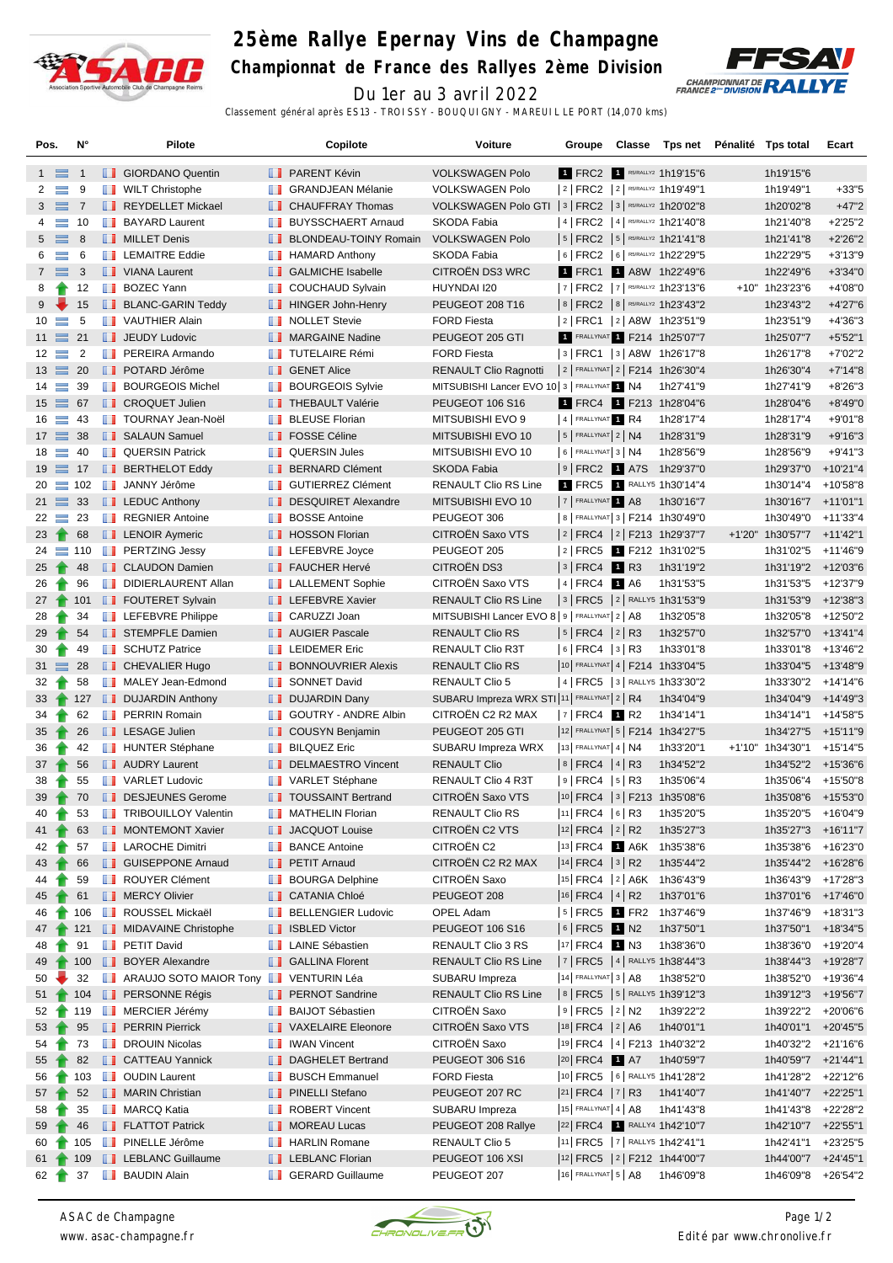

## **25ème Rallye Epernay Vins de Champagne**

**Championnat de France des Rallyes 2ème Division**



Du 1er au 3 avril 2022 Classement général après ES13 - TROISSY - BOUQUIGNY - MAREUIL LE PORT (14,070 kms)

| Pos.                        | N°             |                          | Pilote                                                |     | Copilote                     | Voiture                                                  | Groupe                  | Classe | Tps net Pénalité                          |          | Tps total          | Ecart       |
|-----------------------------|----------------|--------------------------|-------------------------------------------------------|-----|------------------------------|----------------------------------------------------------|-------------------------|--------|-------------------------------------------|----------|--------------------|-------------|
| $1 \equiv$                  | $\overline{1}$ |                          | <b>GIORDANO Quentin</b>                               |     | <b>FRARENT Kévin</b>         | <b>VOLKSWAGEN Polo</b>                                   |                         |        | 1 FRC2 1 R5/RALLY2 1h19'15"6              |          | 1h19'15"6          |             |
| $\overline{2}$<br>$\equiv$  | 9              | <b>The Second</b>        | <b>WILT Christophe</b>                                | ш   | <b>GRANDJEAN Mélanie</b>     | <b>VOLKSWAGEN Polo</b>                                   |                         |        | 2 FRC2 2 R5/RALLY2 1h19'49"1              |          | 1h19'49"1          | $+33"5$     |
| $\equiv$<br>3               | $\overline{7}$ |                          | REYDELLET Mickael                                     |     | <b>CHAUFFRAY Thomas</b>      | VOLKSWAGEN Polo GTI   3   FRC2   3   R5/RALLY2 1h20'02"8 |                         |        |                                           |          | 1h20'02"8          | $+47"2$     |
| $\equiv$<br>4               | 10             |                          | <b>BAYARD Laurent</b>                                 | w   | <b>BUYSSCHAERT Arnaud</b>    | <b>SKODA Fabia</b>                                       |                         |        | 4   FRC2   4   R5/RALLY2 1h21'40"8        |          | 1h21'40"8          | $+2'25"2$   |
| $\equiv$<br>5               | 8              |                          | <b>NILLET</b> Denis                                   |     | <b>BLONDEAU-TOINY Romain</b> | <b>VOLKSWAGEN Polo</b>                                   |                         |        | $ 5 $ FRC2 $ 5 $ R5/RALLY2 1h21'41"8      |          | 1h21'41"8          | $+2'26''2$  |
| $\equiv$<br>6               | 6              | <b>The Co</b>            | <b>LEMAITRE Eddie</b>                                 | ш   | <b>HAMARD Anthony</b>        | SKODA Fabia                                              |                         |        | 6 FRC2 6 R5/RALLY2 1h22'29"5              |          | 1h22'29"5          | $+3'13''9$  |
| $\equiv$<br>$7^{\circ}$     | 3              |                          | <b>U</b> VIANA Laurent                                |     | <b>B</b> GALMICHE Isabelle   | CITROËN DS3 WRC                                          |                         |        | 1 FRC1 1 A8W 1h22'49"6                    |          | 1h22'49"6          | $+3'34"0$   |
| 8                           | 12             | ш                        | <b>BOZEC Yann</b>                                     | m   | <b>COUCHAUD Sylvain</b>      | HUYNDAI I20                                              |                         |        | 7   FRC2   7   R5/RALLY2 1h23'13"6        |          | +10" 1h23'23"6     | $+4'08"0$   |
| 9                           | 15             |                          | <b>BLANC-GARIN Teddy</b>                              |     | <b>HINGER John-Henry</b>     | PEUGEOT 208 T16                                          |                         |        | 8   FRC2   8   R5/RALLY2 1h23'43"2        |          | 1h23'43"2          | +4'27"6     |
| 10                          | 5              |                          | <b>T</b> VAUTHIER Alain                               | w   | <b>NOLLET Stevie</b>         | <b>FORD Fiesta</b>                                       |                         |        | 2  FRC1  2  A8W 1h23'51"9                 |          | 1h23'51"9          | $+4'36''3$  |
| $11 \equiv$                 | 21             |                          | <b>JEUDY Ludovic</b>                                  |     | MARGAINE Nadine              | PEUGEOT 205 GTI                                          |                         |        | FRALLYNAT 1 F214 1h25'07"7                |          | 1h25'07"7          | $+5'52"1$   |
| $12 \equiv$                 | 2              | <b>The Second Second</b> | PEREIRA Armando                                       | m   | <b>TUTELAIRE Rémi</b>        | <b>FORD Fiesta</b>                                       |                         |        | $ 3 $ FRC1 $ 3 $ A8W 1h26'17"8            |          | 1h26'17"8          | $+7'02"2$   |
| $13 \equiv$                 | 20             |                          | <b>POTARD Jérôme</b>                                  |     | <b>B</b> GENET Alice         | <b>RENAULT Clio Ragnotti</b>                             |                         |        | 2 FRALLYNAT 2   F214 1h26'30"4            |          | 1h26'30"4          | $+7'14''8$  |
| $14 \equiv$                 | 39             | ш                        | <b>BOURGEOIS Michel</b>                               | m   | <b>BOURGEOIS Sylvie</b>      | MITSUBISHI Lancer EVO 10 3   FRALLYNAT 1 N4              |                         |        | 1h27'41"9                                 |          | 1h27'41"9          | $+8'26''3$  |
| $15 \equiv 67$              |                |                          | <b>CROQUET Julien</b>                                 |     | <b>THEBAULT Valérie</b>      | PEUGEOT 106 S16                                          |                         |        | 1 FRC4 1 F213 1h28'04"6                   |          | 1h28'04"6          | $+8'49"0$   |
| $16 \equiv$                 | 43             | m                        | TOURNAY Jean-Noël                                     |     | <b>BLEUSE Florian</b>        | MITSUBISHI EVO 9                                         | 4 FRALLYNAT 1 R4        |        | 1h28'17"4                                 |          | 1h28'17"4          | $+9'01"8$   |
| $17 \equiv$                 | 38             |                          | SALAUN Samuel                                         |     | <b>T</b> FOSSE Céline        | MITSUBISHI EVO 10                                        | $ 5 $ FRALLYNAT $2 N4$  |        | 1h28'31"9                                 |          | 1h28'31"9          | $+9'16''3$  |
| $18 \equiv$                 | 40             |                          | <b>QUERSIN Patrick</b>                                | u   | <b>QUERSIN Jules</b>         | MITSUBISHI EVO 10                                        | $6$ FRALLYNAT 3   N4    |        | 1h28'56"9                                 |          | 1h28'56"9          | $+9'41''3$  |
| $\equiv$<br>19 <sup>°</sup> |                |                          |                                                       |     | <b>BERNARD Clément</b>       |                                                          |                         |        | 9 FRC2 1 A7S 1h29'37"0                    |          |                    | $+10'21''4$ |
|                             | 17             |                          | <b>BERTHELOT Eddy</b>                                 |     |                              | <b>SKODA Fabia</b>                                       |                         |        |                                           |          | 1h29'37"0          |             |
| $\equiv$<br>20              | 102            | w                        | JANNY Jérôme                                          | u   | <b>GUTIERREZ Clément</b>     | <b>RENAULT Clio RS Line</b>                              |                         |        | 1 FRC5 1 RALLY5 1h30'14"4                 |          | 1h30'14"4          | +10'58"8    |
| $21 \equiv$                 | 33             |                          | <b>LEDUC Anthony</b>                                  |     | DESQUIRET Alexandre          | MITSUBISHI EVO 10                                        | 7 FRALLYNAT 1 A8        |        | 1h30'16"7                                 |          | 1h30'16"7          | +11'01"1    |
| 22<br>$\equiv$              | 23             |                          | <b>REGNIER Antoine</b>                                |     | <b>BOSSE Antoine</b>         | PEUGEOT 306                                              |                         |        | 8   FRALLYNAT 3   F214 1h30'49"0          |          | 1h30'49"0 +11'33"4 |             |
| 23                          | 68             |                          | <b>EXP</b> LENOIR Aymeric                             |     | <b>T</b> HOSSON Florian      | CITROËN Saxo VTS                                         |                         |        | 2   FRC4   2   F213 1h29'37"7             | $+1'20"$ | 1h30'57"7          | $+11'42"1$  |
| $24 \equiv 110$             |                |                          | <b>FREE PERTZING Jessy</b>                            | w   | LEFEBVRE Joyce               | PEUGEOT 205                                              |                         |        | 2 FRC5 1 F212 1h31'02"5                   |          | 1h31'02"5          | $+11'46''9$ |
| $\bullet$<br>25             | 48             |                          | <b>CLAUDON Damien</b>                                 |     | <b>FAUCHER Hervé</b>         | CITROËN DS3                                              | $ 3 $ FRC4 1 R3         |        | 1h31'19"2                                 |          | 1h31'19"2          | +12'03"6    |
| 26                          | 96             | ш                        | DIDIERLAURENT Allan                                   |     | <b>LALLEMENT Sophie</b>      | CITROËN Saxo VTS                                         | 4 FRC4 1 A6             |        | 1h31'53"5                                 |          | 1h31'53"5          | +12'37"9    |
| 27                          | 101            |                          | <b>FOUTERET Sylvain</b>                               |     | <b>LEFEBVRE Xavier</b>       | <b>RENAULT Clio RS Line</b>                              |                         |        | 3   FRC5   2   RALLY5 1h31'53"9           |          | 1h31'53"9          | $+12'38"3$  |
| 28                          | 34             |                          | <b>Example 2</b> LEFEBVRE Philippe                    |     | CARUZZI Joan                 | MITSUBISHI Lancer EVO 8 9   FRALLYNAT 2   A8             |                         |        | 1h32'05"8                                 |          | 1h32'05"8          | +12'50"2    |
| 29                          | 54             |                          | STEMPFLE Damien                                       | ш   | <b>AUGIER Pascale</b>        | <b>RENAULT Clio RS</b>                                   | $ 5 $ FRC4 $ 2 $ R3     |        | 1h32'57"0                                 |          | 1h32'57"0          | $+13'41''4$ |
| 30                          | 49             |                          | <b>SCHUTZ Patrice</b>                                 | ш   | <b>LEIDEMER Eric</b>         | RENAULT Clio R3T                                         | $ 6 $ FRC4 $ 3 $ R3     |        | 1h33'01"8                                 |          | 1h33'01"8          | +13'46"2    |
| $31 \equiv$                 | 28             |                          | <b>ED</b> CHEVALIER Hugo                              | H.  | <b>BONNOUVRIER Alexis</b>    | RENAULT Clio RS                                          |                         |        | 10 FRALLYNAT 4   F214 1h33'04"5           |          | 1h33'04"5          | +13'48"9    |
| 32                          | 58             |                          | MALEY Jean-Edmond                                     | m   | <b>SONNET David</b>          | <b>RENAULT Clio 5</b>                                    |                         |        | 4   FRC5   3   RALLY5 1h33'30"2           |          | 1h33'30"2          | +14'14"6    |
| 33                          | 127            |                          | DUJARDIN Anthony                                      |     | <b>DUJARDIN Dany</b>         | SUBARU Impreza WRX STI 11 FRALLYNAT 2   R4               |                         |        | 1h34'04"9                                 |          | 1h34'04"9          | $+14'49''3$ |
| 34                          | 62             | m                        | <b>PERRIN Romain</b>                                  | u   | <b>GOUTRY - ANDRE Albin</b>  | CITROËN C2 R2 MAX                                        | 7 FRC4 1 R2             |        | 1h34'14"1                                 |          | 1h34'14"1          | +14'58"5    |
| 35                          | 26             |                          | <b>LESAGE Julien</b>                                  |     | COUSYN Benjamin              | PEUGEOT 205 GTI                                          |                         |        | 12 FRALLYNAT 5   F214 1h34'27"5           |          | 1h34'27"5          | $+15'11''9$ |
| 36                          | 42             |                          | <b>HUNTER Stéphane</b>                                | ш   | <b>BILQUEZ Eric</b>          | SUBARU Impreza WRX                                       | $ 13 $ FRALLYNAT 4   N4 |        | 1h33'20"1                                 |          | +1'10" 1h34'30"1   | +15'14"5    |
| 37                          | 56             |                          | <b>AUDRY Laurent</b>                                  | ш   | <b>DELMAESTRO Vincent</b>    | <b>RENAULT Clio</b>                                      | $ 8 $ FRC4 $ 4 $ R3     |        | 1h34'52"2                                 |          | 1h34'52"2          | +15'36"6    |
| 38                          | 55             |                          | <b>T</b> VARLET Ludovic                               |     | VARLET Stéphane              | RENAULT Clio 4 R3T                                       | $ 9 $ FRC4 $ 5 $ R3     |        | 1h35'06"4                                 |          | 1h35'06"4          | +15'50"8    |
| 39                          | 70             |                          | DESJEUNES Gerome                                      |     | <b>TOUSSAINT Bertrand</b>    | CITROËN Saxo VTS                                         |                         |        | 10 FRC4   3   F213 1h35'08"6              |          | 1h35'08"6 +15'53"0 |             |
| 40                          | 53             | u s                      | <b>TRIBOUILLOY Valentin</b>                           |     | MATHELIN Florian             | RENAULT Clio RS                                          | $ 11 $ FRC4 $ 6 $ R3    |        | 1h35'20"5                                 |          | 1h35'20"5          | +16'04"9    |
| $41 \t{}$                   | 63             |                          | <b>MONTEMONT Xavier</b>                               |     | <b>JACQUOT Louise</b>        | CITROEN C2 VTS                                           | 12 FRC4   2   R2        |        | 1h35'27"3                                 |          | 1h35'27"3          | +16'11"7    |
| 42                          | 57             |                          | <b>LAROCHE Dimitri</b>                                |     | <b>BANCE Antoine</b>         | CITROËN C2                                               |                         |        | 13  FRC4   A6K 1h35'38"6                  |          | 1h35'38"6          | +16'23"0    |
| 43                          | 66             |                          | GUISEPPONE Arnaud                                     |     | <b>PETIT Amaud</b>           | CITROËN C2 R2 MAX                                        | $ 14 $ FRC4 $ 3 $ R2    |        | 1h35'44"2                                 |          | 1h35'44"2 +16'28"6 |             |
| 44                          | 59             |                          | <b>B</b> ROUYER Clément                               |     | <b>BOURGA Delphine</b>       | CITROEN Saxo                                             |                         |        | 15  FRC4   2   A6K 1h36'43"9              |          | 1h36'43"9 +17'28"3 |             |
| 45                          | 61             |                          | <b>I</b> MERCY Olivier                                |     | <b>B</b> CATANIA Chloé       | PEUGEOT 208                                              | $ 16 $ FRC4 $ 4 $ R2    |        | 1h37'01"6                                 |          | 1h37'01"6          | +17'46"0    |
| 46                          | 106            |                          | <b>B</b> ROUSSEL Mickaël                              | u u | <b>BELLENGIER Ludovic</b>    | OPEL Adam                                                |                         |        | 5 FRC5 1 FR2 1h37'46"9                    |          | 1h37'46"9          | +18'31"3    |
| 47                          | 121            |                          | <b>NIDAVAINE Christophe</b>                           |     | <b>BE</b> ISBLED Victor      | <b>PEUGEOT 106 S16</b>                                   | $ 6 $ FRC5 1 N2         |        | 1h37'50"1                                 |          | 1h37'50"1          | +18'34"5    |
| 48                          | 91             |                          | <b>F</b> PETIT David                                  | ш   | <b>LAINE Sébastien</b>       | RENAULT Clio 3 RS                                        | 17 FRC4 1 N3            |        | 1h38'36"0                                 |          | 1h38'36"0          | +19'20"4    |
| 49                          | 100            |                          | <b>BOYER Alexandre</b>                                |     | <b>B</b> GALLINA Florent     | <b>RENAULT Clio RS Line</b>                              |                         |        | 7   FRC5   4   RALLY5 1h38'44"3           |          | 1h38'44"3          | +19'28"7    |
| 50                          | 32             |                          | <b>T</b> ARAUJO SOTO MAIOR Tony <b>T</b> VENTURIN Léa |     |                              | SUBARU Impreza                                           | $14$ FRALLYNAT 3 $AB$   |        | 1h38'52"0                                 |          | 1h38'52"0          | +19'36"4    |
| 51                          |                |                          | 104 PERSONNE Régis                                    |     | <b>FERNOT Sandrine</b>       | <b>RENAULT Clio RS Line</b>                              |                         |        | 8   FRC5   5   RALLY5 1h39'12"3           |          | 1h39'12"3          | +19'56"7    |
| 52                          | 119            |                          | <b>II</b> MERCIER Jérémy                              |     | <b>BAIJOT Sébastien</b>      | CITROEN Saxo                                             | 9   FRC5   2   N2       |        | 1h39'22"2                                 |          | 1h39'22"2          | +20'06"6    |
| 53                          | 95             |                          | <b>PERRIN Pierrick</b>                                |     | VAXELAIRE Eleonore           | <b>CITROEN Saxo VTS</b>                                  | 18 FRC4 2 A6            |        | 1h40'01"1                                 |          | 1h40'01"1          | +20'45"5    |
| 54                          | 73             |                          | <b>DROUIN Nicolas</b>                                 | w   | <b>IWAN Vincent</b>          | <b>CITROEN Saxo</b>                                      |                         |        | <sup>19</sup>   FRC4   4   F213 1h40'32"2 |          | 1h40'32"2          | +21'16"6    |
| 55                          | 82             |                          | <b>CATTEAU Yannick</b>                                |     | DAGHELET Bertrand            | PEUGEOT 306 S16                                          | $ 20 $ FRC4 1 A7        |        | 1h40'59"7                                 |          | 1h40'59"7          | +21'44"1    |
| 56                          |                |                          | 103 <b>J</b> OUDIN Laurent                            |     | <b>BUSCH Emmanuel</b>        | <b>FORD Fiesta</b>                                       |                         |        | 10 FRC5 6 RALLY5 1h41'28"2                |          | 1h41'28"2          | +22'12"6    |
| 57                          | 52             |                          | <b>NARIN Christian</b>                                |     | <b>PINELLI Stefano</b>       | PEUGEOT 207 RC                                           | $ 21 $ FRC4 $ 7 $ R3    |        | 1h41'40"7                                 |          | 1h41'40"7          | +22'25"1    |
| 58                          | 35             |                          | <b>NARCQ Katia</b>                                    |     | ROBERT Vincent               | SUBARU Impreza                                           | 15 FRALLYNAT $4   A8$   |        | 1h41'43"8                                 |          | 1h41'43"8          | +22'28"2    |
| 59                          | 46             |                          | <b>FLATTOT Patrick</b>                                |     | <b>NOREAU Lucas</b>          | PEUGEOT 208 Rallye                                       |                         |        | 22 FRC4 1 RALLY4 1h42'10"7                |          | 1h42'10"7          | +22'55"1    |
| 60                          | 105            |                          | <b>FRITTE PINELLE Jérôme</b>                          | w   | <b>HARLIN Romane</b>         | RENAULT Clio 5                                           |                         |        | 11 FRC5   7   RALLY5 1h42'41"1            |          | 1h42'41"1          | +23'25"5    |
| 61                          | 109            |                          | <b>Example 2</b> LEBLANC Guillaume                    |     | <b>LEBLANC Florian</b>       | PEUGEOT 106 XSI                                          |                         |        | 12 FRC5   2   F212 1h44'00"7              |          | 1h44'00"7          | +24'45"1    |
| 62 1                        |                |                          | 37 BAUDIN Alain                                       |     | GERARD Guillaume             | PEUGEOT 207                                              | 16 FRALLYNAT 5   A8     |        | 1h46'09"8                                 |          | 1h46'09"8 +26'54"2 |             |